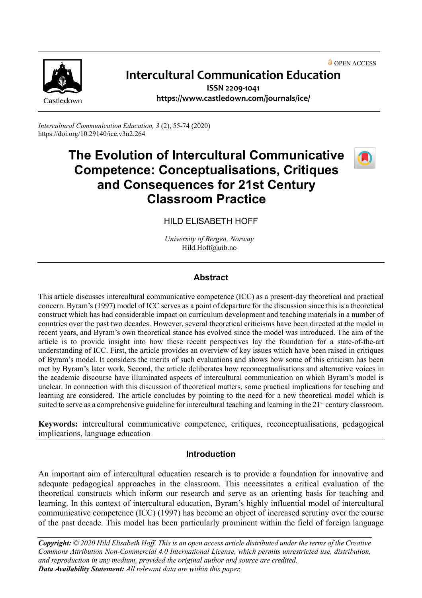**O** OPEN ACCESS



# **Intercultural Communication Education**

**ISSN 2209-1041 <https://www.castledown.com/journals/ice/>**

*Intercultural Communication Education, 3* (2), 55-74 (2020) <https://doi.org/10.29140/ice.v3n2.264>

# **The Evolution of Intercultural Communicative Competence: Conceptualisations, Critiques and Consequences for 21st Century Classroom Practice**



HILD ELISABETH HOFF

*University of Bergen, Norway* Hild.Hoff@uib.no

## **Abstract**

This article discusses intercultural communicative competence (ICC) as a present-day theoretical and practical concern. Byram's (1997) model of ICC serves as a point of departure for the discussion since this is a theoretical construct which has had considerable impact on curriculum development and teaching materials in a number of countries over the past two decades. However, several theoretical criticisms have been directed at the model in recent years, and Byram's own theoretical stance has evolved since the model was introduced. The aim of the article is to provide insight into how these recent perspectives lay the foundation for a state-of-the-art understanding of ICC. First, the article provides an overview of key issues which have been raised in critiques of Byram's model. It considers the merits of such evaluations and shows how some of this criticism has been met by Byram's later work. Second, the article deliberates how reconceptualisations and alternative voices in the academic discourse have illuminated aspects of intercultural communication on which Byram's model is unclear. In connection with this discussion of theoretical matters, some practical implications for teaching and learning are considered. The article concludes by pointing to the need for a new theoretical model which is suited to serve as a comprehensive guideline for intercultural teaching and learning in the 21<sup>st</sup> century classroom.

**Keywords:** intercultural communicative competence, critiques, reconceptualisations, pedagogical implications, language education

## **Introduction**

An important aim of intercultural education research is to provide a foundation for innovative and adequate pedagogical approaches in the classroom. This necessitates a critical evaluation of the theoretical constructs which inform our research and serve as an orienting basis for teaching and learning. In this context of intercultural education, Byram's highly influential model of intercultural communicative competence (ICC) (1997) has become an object of increased scrutiny over the course of the past decade. This model has been particularly prominent within the field of foreign language

*Copyright: © 2020 Hild Elisabeth Hoff. This is an open access article distributed under the terms of th[e Creative](http://creativecommons.org/licenses/by-nc-nd/4.0)  [Commons Attribution Non-Commercial 4.0 International License,](http://creativecommons.org/licenses/by-nc-nd/4.0) which permits unrestricted use, distribution, and reproduction in any medium, provided the original author and source are credited. Data Availability Statement: All relevant data are within this paper.*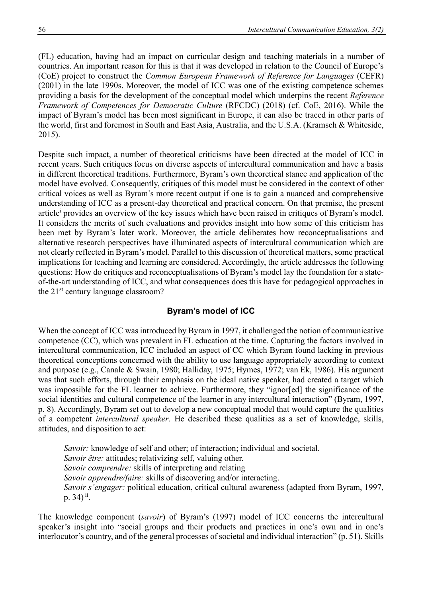(FL) education, having had an impact on curricular design and teaching materials in a number of countries. An important reason for this is that it was developed in relation to the Council of Europe's (CoE) project to construct the *Common European Framework of Reference for Languages* (CEFR) (2001) in the late 1990s. Moreover, the model of ICC was one of the existing competence schemes providing a basis for the development of the conceptual model which underpins the recent *Reference Framework of Competences for Democratic Culture* (RFCDC) (2018) (cf. CoE, 2016). While the impact of Byram's model has been most significant in Europe, it can also be traced in other parts of the world, first and foremost in South and East Asia, Australia, and the U.S.A. (Kramsch & Whiteside, 2015).

Despite such impact, a number of theoretical criticisms have been directed at the model of ICC in recent years. Such critiques focus on diverse aspects of intercultural communication and have a basis in different theoretical traditions. Furthermore, Byram's own theoretical stance and application of the model have evolved. Consequently, critiques of this model must be considered in the context of other critical voices as well as Byram's more recent output if one is to gain a nuanced and comprehensive understanding of ICC as a present-day theoretical and practical concern. On that premise, the present article<sup>i</sup> provides an overview of the key issues which have been raised in critiques of Byram's model. It considers the merits of such evaluations and provides insight into how some of this criticism has been met by Byram's later work. Moreover, the article deliberates how reconceptualisations and alternative research perspectives have illuminated aspects of intercultural communication which are not clearly reflected in Byram's model. Parallel to this discussion of theoretical matters, some practical implications for teaching and learning are considered. Accordingly, the article addresses the following questions: How do critiques and reconceptualisations of Byram's model lay the foundation for a stateof-the-art understanding of ICC, and what consequences does this have for pedagogical approaches in the 21<sup>st</sup> century language classroom?

## **Byram's model of ICC**

When the concept of ICC was introduced by Byram in 1997, it challenged the notion of communicative competence (CC), which was prevalent in FL education at the time. Capturing the factors involved in intercultural communication, ICC included an aspect of CC which Byram found lacking in previous theoretical conceptions concerned with the ability to use language appropriately according to context and purpose (e.g., Canale & Swain, 1980; Halliday, 1975; Hymes, 1972; van Ek, 1986). His argument was that such efforts, through their emphasis on the ideal native speaker, had created a target which was impossible for the FL learner to achieve. Furthermore, they "ignor[ed] the significance of the social identities and cultural competence of the learner in any intercultural interaction" (Byram, 1997, p. 8). Accordingly, Byram set out to develop a new conceptual model that would capture the qualities of a competent *intercultural speaker*. He described these qualities as a set of knowledge, skills, attitudes, and disposition to act:

*Savoir:* knowledge of self and other; of interaction; individual and societal. *Savoir être:* attitudes; relativizing self, valuing other. *Savoir comprendre:* skills of interpreting and relating *Savoir apprendre/faire:* skills of discovering and/or interacting. *Savoir s'engager:* political education, critical cultural awareness (adapted from Byram, 1997, p. 34)<sup>ii</sup>.

The knowledge component (*savoir*) of Byram's (1997) model of ICC concerns the intercultural speaker's insight into "social groups and their products and practices in one's own and in one's interlocutor's country, and of the general processes of societal and individual interaction" (p. 51). Skills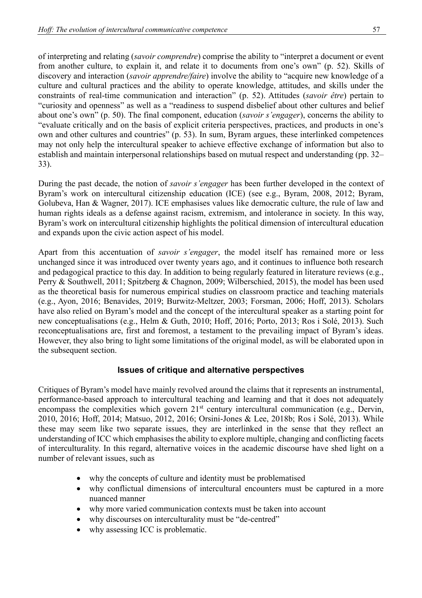of interpreting and relating (*savoir comprendre*) comprise the ability to "interpret a document or event from another culture, to explain it, and relate it to documents from one's own" (p. 52). Skills of discovery and interaction (*savoir apprendre/faire*) involve the ability to "acquire new knowledge of a culture and cultural practices and the ability to operate knowledge, attitudes, and skills under the constraints of real-time communication and interaction" (p. 52). Attitudes (*savoir être*) pertain to "curiosity and openness" as well as a "readiness to suspend disbelief about other cultures and belief about one's own" (p. 50). The final component, education (*savoir s'engager*), concerns the ability to "evaluate critically and on the basis of explicit criteria perspectives, practices, and products in one's own and other cultures and countries" (p. 53). In sum, Byram argues, these interlinked competences may not only help the intercultural speaker to achieve effective exchange of information but also to establish and maintain interpersonal relationships based on mutual respect and understanding (pp. 32– 33).

During the past decade, the notion of *savoir s'engager* has been further developed in the context of Byram's work on intercultural citizenship education (ICE) (see e.g., Byram, 2008, 2012; Byram, Golubeva, Han & Wagner, 2017). ICE emphasises values like democratic culture, the rule of law and human rights ideals as a defense against racism, extremism, and intolerance in society. In this way, Byram's work on intercultural citizenship highlights the political dimension of intercultural education and expands upon the civic action aspect of his model.

Apart from this accentuation of *savoir s'engager*, the model itself has remained more or less unchanged since it was introduced over twenty years ago, and it continues to influence both research and pedagogical practice to this day. In addition to being regularly featured in literature reviews (e.g., Perry & Southwell, 2011; Spitzberg & Chagnon, 2009; Wilberschied, 2015), the model has been used as the theoretical basis for numerous empirical studies on classroom practice and teaching materials (e.g., Ayon, 2016; Benavides, 2019; Burwitz-Meltzer, 2003; Forsman, 2006; Hoff, 2013). Scholars have also relied on Byram's model and the concept of the intercultural speaker as a starting point for new conceptualisations (e.g., Helm & Guth, 2010; Hoff, 2016; Porto, 2013; Ros i Solé, 2013). Such reconceptualisations are, first and foremost, a testament to the prevailing impact of Byram's ideas. However, they also bring to light some limitations of the original model, as will be elaborated upon in the subsequent section.

## **Issues of critique and alternative perspectives**

Critiques of Byram's model have mainly revolved around the claims that it represents an instrumental, performance-based approach to intercultural teaching and learning and that it does not adequately encompass the complexities which govern  $21<sup>st</sup>$  century intercultural communication (e.g., Dervin, 2010, 2016; Hoff, 2014; Matsuo, 2012, 2016; Orsini-Jones & Lee, 2018b; Ros i Solé, 2013). While these may seem like two separate issues, they are interlinked in the sense that they reflect an understanding of ICC which emphasises the ability to explore multiple, changing and conflicting facets of interculturality. In this regard, alternative voices in the academic discourse have shed light on a number of relevant issues, such as

- why the concepts of culture and identity must be problematised
- why conflictual dimensions of intercultural encounters must be captured in a more nuanced manner
- why more varied communication contexts must be taken into account
- why discourses on interculturality must be "de-centred"
- why assessing ICC is problematic.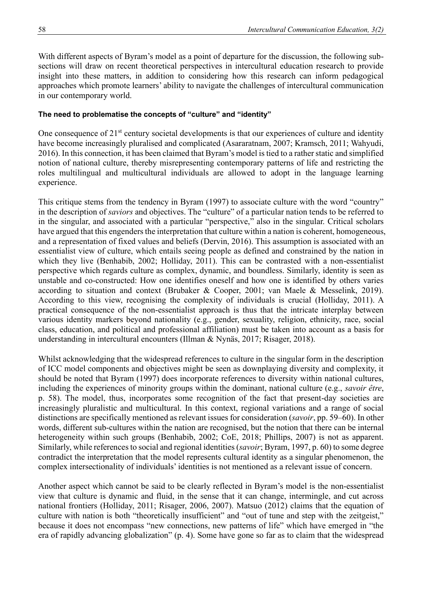With different aspects of Byram's model as a point of departure for the discussion, the following subsections will draw on recent theoretical perspectives in intercultural education research to provide insight into these matters, in addition to considering how this research can inform pedagogical approaches which promote learners' ability to navigate the challenges of intercultural communication in our contemporary world.

#### **The need to problematise the concepts of "culture" and "identity"**

One consequence of 21<sup>st</sup> century societal developments is that our experiences of culture and identity have become increasingly pluralised and complicated (Asararatnam, 2007; Kramsch, 2011; Wahyudi, 2016). In this connection, it has been claimed that Byram's model is tied to a rather static and simplified notion of national culture, thereby misrepresenting contemporary patterns of life and restricting the roles multilingual and multicultural individuals are allowed to adopt in the language learning experience.

This critique stems from the tendency in Byram (1997) to associate culture with the word "country" in the description of *saviors* and objectives. The "culture" of a particular nation tends to be referred to in the singular, and associated with a particular "perspective," also in the singular. Critical scholars have argued that this engenders the interpretation that culture within a nation is coherent, homogeneous, and a representation of fixed values and beliefs (Dervin, 2016). This assumption is associated with an essentialist view of culture, which entails seeing people as defined and constrained by the nation in which they live (Benhabib, 2002; Holliday, 2011). This can be contrasted with a non-essentialist perspective which regards culture as complex, dynamic, and boundless. Similarly, identity is seen as unstable and co-constructed: How one identifies oneself and how one is identified by others varies according to situation and context (Brubaker & Cooper, 2001; van Maele & Messelink, 2019). According to this view, recognising the complexity of individuals is crucial (Holliday, 2011). A practical consequence of the non-essentialist approach is thus that the intricate interplay between various identity markers beyond nationality (e.g., gender, sexuality, religion, ethnicity, race, social class, education, and political and professional affiliation) must be taken into account as a basis for understanding in intercultural encounters (Illman & Nynäs, 2017; Risager, 2018).

Whilst acknowledging that the widespread references to culture in the singular form in the description of ICC model components and objectives might be seen as downplaying diversity and complexity, it should be noted that Byram (1997) does incorporate references to diversity within national cultures, including the experiences of minority groups within the dominant, national culture (e.g., *savoir être*, p. 58). The model, thus, incorporates some recognition of the fact that present-day societies are increasingly pluralistic and multicultural. In this context, regional variations and a range of social distinctions are specifically mentioned as relevant issues for consideration (*savoir*, pp. 59–60). In other words, different sub-cultures within the nation are recognised, but the notion that there can be internal heterogeneity within such groups (Benhabib, 2002; CoE, 2018; Phillips, 2007) is not as apparent. Similarly, while references to social and regional identities (*savoir*; Byram, 1997, p. 60) to some degree contradict the interpretation that the model represents cultural identity as a singular phenomenon, the complex intersectionality of individuals' identities is not mentioned as a relevant issue of concern.

Another aspect which cannot be said to be clearly reflected in Byram's model is the non-essentialist view that culture is dynamic and fluid, in the sense that it can change, intermingle, and cut across national frontiers (Holliday, 2011; Risager, 2006, 2007). Matsuo (2012) claims that the equation of culture with nation is both "theoretically insufficient" and "out of tune and step with the zeitgeist," because it does not encompass "new connections, new patterns of life" which have emerged in "the era of rapidly advancing globalization" (p. 4). Some have gone so far as to claim that the widespread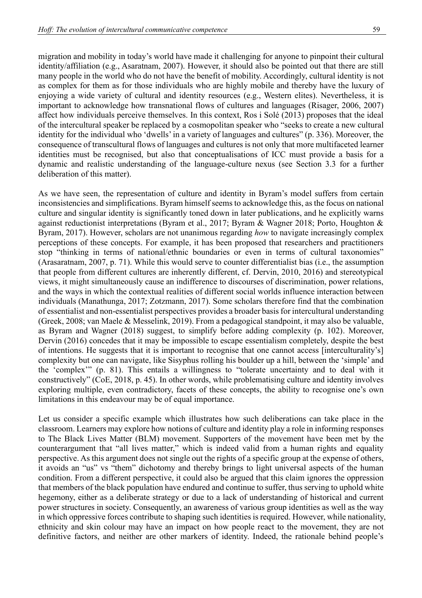migration and mobility in today's world have made it challenging for anyone to pinpoint their cultural identity/affiliation (e.g., Asaratnam, 2007). However, it should also be pointed out that there are still many people in the world who do not have the benefit of mobility. Accordingly, cultural identity is not as complex for them as for those individuals who are highly mobile and thereby have the luxury of enjoying a wide variety of cultural and identity resources (e.g., Western elites). Nevertheless, it is important to acknowledge how transnational flows of cultures and languages (Risager, 2006, 2007) affect how individuals perceive themselves. In this context, Ros i Solé (2013) proposes that the ideal of the intercultural speaker be replaced by a cosmopolitan speaker who "seeks to create a new cultural identity for the individual who 'dwells' in a variety of languages and cultures" (p. 336). Moreover, the consequence of transcultural flows of languages and cultures is not only that more multifaceted learner identities must be recognised, but also that conceptualisations of ICC must provide a basis for a dynamic and realistic understanding of the language-culture nexus (see Section 3.3 for a further deliberation of this matter).

As we have seen, the representation of culture and identity in Byram's model suffers from certain inconsistencies and simplifications. Byram himself seems to acknowledge this, as the focus on national culture and singular identity is significantly toned down in later publications, and he explicitly warns against reductionist interpretations (Byram et al., 2017; Byram & Wagner 2018; Porto, Houghton & Byram, 2017). However, scholars are not unanimous regarding *how* to navigate increasingly complex perceptions of these concepts. For example, it has been proposed that researchers and practitioners stop "thinking in terms of national/ethnic boundaries or even in terms of cultural taxonomies" (Arasaratnam, 2007, p. 71). While this would serve to counter differentialist bias (i.e., the assumption that people from different cultures are inherently different, cf. Dervin, 2010, 2016) and stereotypical views, it might simultaneously cause an indifference to discourses of discrimination, power relations, and the ways in which the contextual realities of different social worlds influence interaction between individuals (Manathunga, 2017; Zotzmann, 2017). Some scholars therefore find that the combination of essentialist and non-essentialist perspectives provides a broader basis for intercultural understanding (Greek, 2008; van Maele & Messelink, 2019). From a pedagogical standpoint, it may also be valuable, as Byram and Wagner (2018) suggest, to simplify before adding complexity (p. 102). Moreover, Dervin (2016) concedes that it may be impossible to escape essentialism completely, despite the best of intentions. He suggests that it is important to recognise that one cannot access [interculturality's] complexity but one can navigate, like Sisyphus rolling his boulder up a hill, between the 'simple' and the 'complex'" (p. 81). This entails a willingness to "tolerate uncertainty and to deal with it constructively" (CoE, 2018, p. 45). In other words, while problematising culture and identity involves exploring multiple, even contradictory, facets of these concepts, the ability to recognise one's own limitations in this endeavour may be of equal importance.

Let us consider a specific example which illustrates how such deliberations can take place in the classroom. Learners may explore how notions of culture and identity play a role in informing responses to The Black Lives Matter (BLM) movement. Supporters of the movement have been met by the counterargument that "all lives matter," which is indeed valid from a human rights and equality perspective. As this argument does not single out the rights of a specific group at the expense of others, it avoids an "us" vs "them" dichotomy and thereby brings to light universal aspects of the human condition. From a different perspective, it could also be argued that this claim ignores the oppression that members of the black population have endured and continue to suffer, thus serving to uphold white hegemony, either as a deliberate strategy or due to a lack of understanding of historical and current power structures in society. Consequently, an awareness of various group identities as well as the way in which oppressive forces contribute to shaping such identities is required. However, while nationality, ethnicity and skin colour may have an impact on how people react to the movement, they are not definitive factors, and neither are other markers of identity. Indeed, the rationale behind people's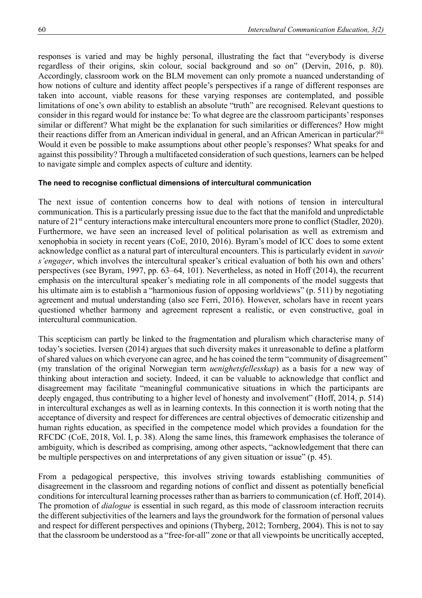responses is varied and may be highly personal, illustrating the fact that "everybody is diverse regardless of their origins, skin colour, social background and so on" (Dervin, 2016, p. 80). Accordingly, classroom work on the BLM movement can only promote a nuanced understanding of how notions of culture and identity affect people's perspectives if a range of different responses are taken into account, viable reasons for these varying responses are contemplated, and possible limitations of one's own ability to establish an absolute "truth" are recognised. Relevant questions to consider in this regard would for instance be: To what degree are the classroom participants' responses similar or different? What might be the explanation for such similarities or differences? How might their reactions differ from an American individual in general, and an African American in particular?<sup>iii</sup> Would it even be possible to make assumptions about other people's responses? What speaks for and against this possibility? Through a multifaceted consideration of such questions, learners can be helped to navigate simple and complex aspects of culture and identity.

#### **The need to recognise conflictual dimensions of intercultural communication**

The next issue of contention concerns how to deal with notions of tension in intercultural communication. This is a particularly pressing issue due to the fact that the manifold and unpredictable nature of 21<sup>st</sup> century interactions make intercultural encounters more prone to conflict (Stadler, 2020). Furthermore, we have seen an increased level of political polarisation as well as extremism and xenophobia in society in recent years (CoE, 2010, 2016). Byram's model of ICC does to some extent acknowledge conflict as a natural part of intercultural encounters. This is particularly evident in *savoir s'engager*, which involves the intercultural speaker's critical evaluation of both his own and others' perspectives (see Byram, 1997, pp. 63–64, 101). Nevertheless, as noted in Hoff (2014), the recurrent emphasis on the intercultural speaker's mediating role in all components of the model suggests that his ultimate aim is to establish a "harmonious fusion of opposing worldviews" (p. 511) by negotiating agreement and mutual understanding (also see Ferri, 2016). However, scholars have in recent years questioned whether harmony and agreement represent a realistic, or even constructive, goal in intercultural communication.

This scepticism can partly be linked to the fragmentation and pluralism which characterise many of today's societies. Iversen (2014) argues that such diversity makes it unreasonable to define a platform of shared values on which everyone can agree, and he has coined the term "community of disagreement" (my translation of the original Norwegian term *uenighetsfellesskap*) as a basis for a new way of thinking about interaction and society. Indeed, it can be valuable to acknowledge that conflict and disagreement may facilitate "meaningful communicative situations in which the participants are deeply engaged, thus contributing to a higher level of honesty and involvement" (Hoff, 2014, p. 514) in intercultural exchanges as well as in learning contexts. In this connection it is worth noting that the acceptance of diversity and respect for differences are central objectives of democratic citizenship and human rights education, as specified in the competence model which provides a foundation for the RFCDC (CoE, 2018, Vol. I, p. 38). Along the same lines, this framework emphasises the tolerance of ambiguity, which is described as comprising, among other aspects, "acknowledgement that there can be multiple perspectives on and interpretations of any given situation or issue" (p. 45).

From a pedagogical perspective, this involves striving towards establishing communities of disagreement in the classroom and regarding notions of conflict and dissent as potentially beneficial conditions for intercultural learning processes rather than as barriers to communication (cf. Hoff, 2014). The promotion of *dialogue* is essential in such regard, as this mode of classroom interaction recruits the different subjectivities of the learners and lays the groundwork for the formation of personal values and respect for different perspectives and opinions (Thyberg, 2012; Tornberg, 2004). This is not to say that the classroom be understood as a "free-for-all" zone or that all viewpoints be uncritically accepted,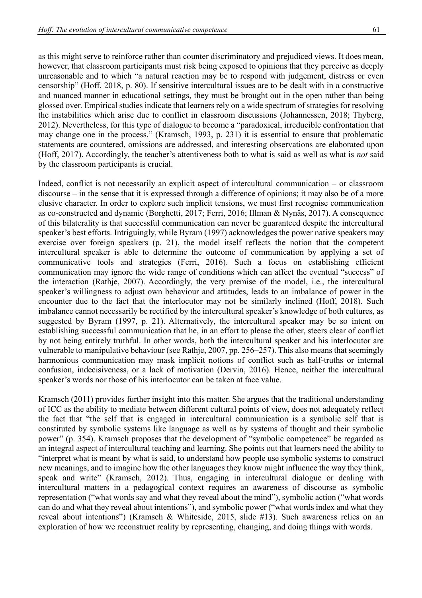as this might serve to reinforce rather than counter discriminatory and prejudiced views. It does mean, however, that classroom participants must risk being exposed to opinions that they perceive as deeply unreasonable and to which "a natural reaction may be to respond with judgement, distress or even censorship" (Hoff, 2018, p. 80). If sensitive intercultural issues are to be dealt with in a constructive and nuanced manner in educational settings, they must be brought out in the open rather than being glossed over. Empirical studies indicate that learners rely on a wide spectrum of strategies for resolving the instabilities which arise due to conflict in classroom discussions (Johannessen, 2018; Thyberg, 2012). Nevertheless, for this type of dialogue to become a "paradoxical, irreducible confrontation that may change one in the process," (Kramsch, 1993, p. 231) it is essential to ensure that problematic statements are countered, omissions are addressed, and interesting observations are elaborated upon (Hoff, 2017). Accordingly, the teacher's attentiveness both to what is said as well as what is *not* said by the classroom participants is crucial.

Indeed, conflict is not necessarily an explicit aspect of intercultural communication – or classroom discourse – in the sense that it is expressed through a difference of opinions; it may also be of a more elusive character. In order to explore such implicit tensions, we must first recognise communication as co-constructed and dynamic (Borghetti, 2017; Ferri, 2016; Illman & Nynäs, 2017). A consequence of this bilaterality is that successful communication can never be guaranteed despite the intercultural speaker's best efforts. Intriguingly, while Byram (1997) acknowledges the power native speakers may exercise over foreign speakers (p. 21), the model itself reflects the notion that the competent intercultural speaker is able to determine the outcome of communication by applying a set of communicative tools and strategies (Ferri, 2016). Such a focus on establishing efficient communication may ignore the wide range of conditions which can affect the eventual "success" of the interaction (Rathje, 2007). Accordingly, the very premise of the model, i.e., the intercultural speaker's willingness to adjust own behaviour and attitudes, leads to an imbalance of power in the encounter due to the fact that the interlocutor may not be similarly inclined (Hoff, 2018). Such imbalance cannot necessarily be rectified by the intercultural speaker's knowledge of both cultures, as suggested by Byram (1997, p. 21). Alternatively, the intercultural speaker may be so intent on establishing successful communication that he, in an effort to please the other, steers clear of conflict by not being entirely truthful. In other words, both the intercultural speaker and his interlocutor are vulnerable to manipulative behaviour (see Rathje, 2007, pp. 256–257). This also means that seemingly harmonious communication may mask implicit notions of conflict such as half-truths or internal confusion, indecisiveness, or a lack of motivation (Dervin, 2016). Hence, neither the intercultural speaker's words nor those of his interlocutor can be taken at face value.

Kramsch (2011) provides further insight into this matter. She argues that the traditional understanding of ICC as the ability to mediate between different cultural points of view, does not adequately reflect the fact that "the self that is engaged in intercultural communication is a symbolic self that is constituted by symbolic systems like language as well as by systems of thought and their symbolic power" (p. 354). Kramsch proposes that the development of "symbolic competence" be regarded as an integral aspect of intercultural teaching and learning. She points out that learners need the ability to "interpret what is meant by what is said, to understand how people use symbolic systems to construct new meanings, and to imagine how the other languages they know might influence the way they think, speak and write" (Kramsch, 2012). Thus, engaging in intercultural dialogue or dealing with intercultural matters in a pedagogical context requires an awareness of discourse as symbolic representation ("what words say and what they reveal about the mind"), symbolic action ("what words can do and what they reveal about intentions"), and symbolic power ("what words index and what they reveal about intentions") (Kramsch & Whiteside, 2015, slide #13). Such awareness relies on an exploration of how we reconstruct reality by representing, changing, and doing things with words.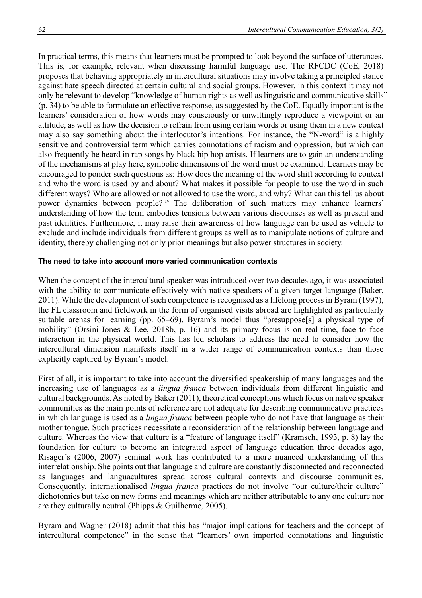In practical terms, this means that learners must be prompted to look beyond the surface of utterances. This is, for example, relevant when discussing harmful language use. The RFCDC (CoE, 2018) proposes that behaving appropriately in intercultural situations may involve taking a principled stance against hate speech directed at certain cultural and social groups. However, in this context it may not only be relevant to develop "knowledge of human rights as well as linguistic and communicative skills" (p. 34) to be able to formulate an effective response, as suggested by the CoE. Equally important is the learners' consideration of how words may consciously or unwittingly reproduce a viewpoint or an attitude, as well as how the decision to refrain from using certain words or using them in a new context may also say something about the interlocutor's intentions. For instance, the "N-word" is a highly sensitive and controversial term which carries connotations of racism and oppression, but which can also frequently be heard in rap songs by black hip hop artists. If learners are to gain an understanding of the mechanisms at play here, symbolic dimensions of the word must be examined. Learners may be encouraged to ponder such questions as: How does the meaning of the word shift according to context and who the word is used by and about? What makes it possible for people to use the word in such different ways? Who are allowed or not allowed to use the word, and why? What can this tell us about power dynamics between people? iv The deliberation of such matters may enhance learners' understanding of how the term embodies tensions between various discourses as well as present and past identities. Furthermore, it may raise their awareness of how language can be used as vehicle to exclude and include individuals from different groups as well as to manipulate notions of culture and identity, thereby challenging not only prior meanings but also power structures in society.

### **The need to take into account more varied communication contexts**

When the concept of the intercultural speaker was introduced over two decades ago, it was associated with the ability to communicate effectively with native speakers of a given target language (Baker, 2011). While the development of such competence is recognised as a lifelong process in Byram (1997), the FL classroom and fieldwork in the form of organised visits abroad are highlighted as particularly suitable arenas for learning (pp. 65–69). Byram's model thus "presuppose[s] a physical type of mobility" (Orsini-Jones & Lee, 2018b, p. 16) and its primary focus is on real-time, face to face interaction in the physical world. This has led scholars to address the need to consider how the intercultural dimension manifests itself in a wider range of communication contexts than those explicitly captured by Byram's model.

First of all, it is important to take into account the diversified speakership of many languages and the increasing use of languages as a *lingua franca* between individuals from different linguistic and cultural backgrounds. As noted by Baker (2011), theoretical conceptions which focus on native speaker communities as the main points of reference are not adequate for describing communicative practices in which language is used as a *lingua franca* between people who do not have that language as their mother tongue. Such practices necessitate a reconsideration of the relationship between language and culture. Whereas the view that culture is a "feature of language itself" (Kramsch, 1993, p. 8) lay the foundation for culture to become an integrated aspect of language education three decades ago, Risager's (2006, 2007) seminal work has contributed to a more nuanced understanding of this interrelationship. She points out that language and culture are constantly disconnected and reconnected as languages and languacultures spread across cultural contexts and discourse communities. Consequently, internationalised *lingua franca* practices do not involve "our culture/their culture" dichotomies but take on new forms and meanings which are neither attributable to any one culture nor are they culturally neutral (Phipps & Guilherme, 2005).

Byram and Wagner (2018) admit that this has "major implications for teachers and the concept of intercultural competence" in the sense that "learners' own imported connotations and linguistic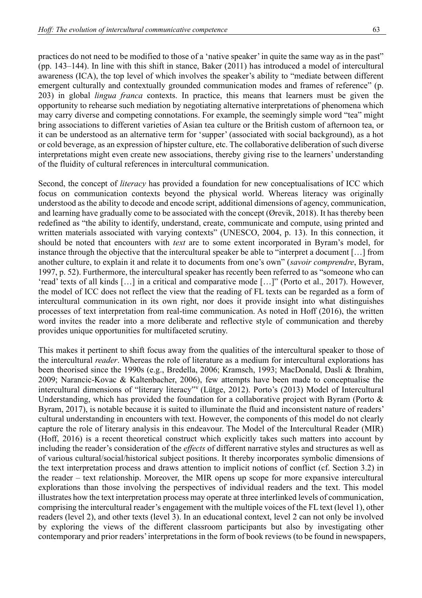practices do not need to be modified to those of a 'native speaker' in quite the same way as in the past" (pp. 143–144). In line with this shift in stance, Baker (2011) has introduced a model of intercultural awareness (ICA), the top level of which involves the speaker's ability to "mediate between different emergent culturally and contextually grounded communication modes and frames of reference" (p. 203) in global *lingua franca* contexts. In practice, this means that learners must be given the opportunity to rehearse such mediation by negotiating alternative interpretations of phenomena which may carry diverse and competing connotations. For example, the seemingly simple word "tea" might bring associations to different varieties of Asian tea culture or the British custom of afternoon tea, or it can be understood as an alternative term for 'supper' (associated with social background), as a hot or cold beverage, as an expression of hipster culture, etc. The collaborative deliberation of such diverse interpretations might even create new associations, thereby giving rise to the learners' understanding of the fluidity of cultural references in intercultural communication.

Second, the concept of *literacy* has provided a foundation for new conceptualisations of ICC which focus on communication contexts beyond the physical world. Whereas literacy was originally understood as the ability to decode and encode script, additional dimensions of agency, communication, and learning have gradually come to be associated with the concept (Ørevik, 2018). It has thereby been redefined as "the ability to identify, understand, create, communicate and compute, using printed and written materials associated with varying contexts" (UNESCO, 2004, p. 13). In this connection, it should be noted that encounters with *text* are to some extent incorporated in Byram's model, for instance through the objective that the intercultural speaker be able to "interpret a document […] from another culture, to explain it and relate it to documents from one's own" (*savoir comprendre*, Byram, 1997, p. 52). Furthermore, the intercultural speaker has recently been referred to as "someone who can 'read' texts of all kinds […] in a critical and comparative mode […]" (Porto et al., 2017). However, the model of ICC does not reflect the view that the reading of FL texts can be regarded as a form of intercultural communication in its own right, nor does it provide insight into what distinguishes processes of text interpretation from real-time communication. As noted in Hoff (2016), the written word invites the reader into a more deliberate and reflective style of communication and thereby provides unique opportunities for multifaceted scrutiny.

This makes it pertinent to shift focus away from the qualities of the intercultural speaker to those of the intercultural *reader*. Whereas the role of literature as a medium for intercultural explorations has been theorised since the 1990s (e.g., Bredella, 2006; Kramsch, 1993; MacDonald, Dasli & Ibrahim, 2009; Narancic-Kovac & Kaltenbacher, 2006), few attempts have been made to conceptualise the intercultural dimensions of "literary literacy"<sup>v</sup> (Lütge, 2012). Porto's (2013) Model of Intercultural Understanding, which has provided the foundation for a collaborative project with Byram (Porto & Byram, 2017), is notable because it is suited to illuminate the fluid and inconsistent nature of readers' cultural understanding in encounters with text. However, the components of this model do not clearly capture the role of literary analysis in this endeavour. The Model of the Intercultural Reader (MIR) (Hoff, 2016) is a recent theoretical construct which explicitly takes such matters into account by including the reader's consideration of the *effects* of different narrative styles and structures as well as of various cultural/social/historical subject positions. It thereby incorporates symbolic dimensions of the text interpretation process and draws attention to implicit notions of conflict (cf. Section 3.2) in the reader – text relationship. Moreover, the MIR opens up scope for more expansive intercultural explorations than those involving the perspectives of individual readers and the text. This model illustrates how the text interpretation process may operate at three interlinked levels of communication, comprising the intercultural reader's engagement with the multiple voices of the FL text (level 1), other readers (level 2), and other texts (level 3). In an educational context, level 2 can not only be involved by exploring the views of the different classroom participants but also by investigating other contemporary and prior readers' interpretations in the form of book reviews (to be found in newspapers,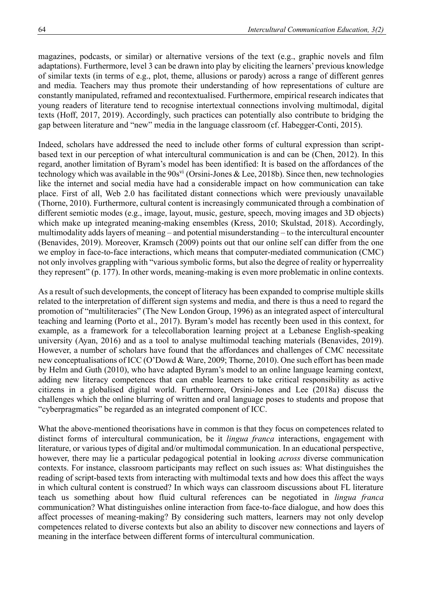magazines, podcasts, or similar) or alternative versions of the text (e.g., graphic novels and film adaptations). Furthermore, level 3 can be drawn into play by eliciting the learners' previous knowledge of similar texts (in terms of e.g., plot, theme, allusions or parody) across a range of different genres and media. Teachers may thus promote their understanding of how representations of culture are constantly manipulated, reframed and recontextualised. Furthermore, empirical research indicates that young readers of literature tend to recognise intertextual connections involving multimodal, digital texts (Hoff, 2017, 2019). Accordingly, such practices can potentially also contribute to bridging the gap between literature and "new" media in the language classroom (cf. Habegger-Conti, 2015).

Indeed, scholars have addressed the need to include other forms of cultural expression than scriptbased text in our perception of what intercultural communication is and can be (Chen, 2012). In this regard, another limitation of Byram's model has been identified: It is based on the affordances of the technology which was available in the  $90s<sup>vi</sup>$  (Orsini-Jones & Lee, 2018b). Since then, new technologies like the internet and social media have had a considerable impact on how communication can take place. First of all, Web 2.0 has facilitated distant connections which were previously unavailable (Thorne, 2010). Furthermore, cultural content is increasingly communicated through a combination of different semiotic modes (e.g., image, layout, music, gesture, speech, moving images and 3D objects) which make up integrated meaning-making ensembles (Kress, 2010; Skulstad, 2018). Accordingly, multimodality adds layers of meaning – and potential misunderstanding – to the intercultural encounter (Benavides, 2019). Moreover, Kramsch (2009) points out that our online self can differ from the one we employ in face-to-face interactions, which means that computer-mediated communication (CMC) not only involves grappling with "various symbolic forms, but also the degree of reality or hyperreality they represent" (p. 177). In other words, meaning-making is even more problematic in online contexts.

As a result of such developments, the concept of literacy has been expanded to comprise multiple skills related to the interpretation of different sign systems and media, and there is thus a need to regard the promotion of "multiliteracies" (The New London Group, 1996) as an integrated aspect of intercultural teaching and learning (Porto et al., 2017). Byram's model has recently been used in this context, for example, as a framework for a telecollaboration learning project at a Lebanese English-speaking university (Ayan, 2016) and as a tool to analyse multimodal teaching materials (Benavides, 2019). However, a number of scholars have found that the affordances and challenges of CMC necessitate new conceptualisations of ICC (O'Dowd & Ware, 2009; Thorne, 2010). One such effort has been made by Helm and Guth (2010), who have adapted Byram's model to an online language learning context, adding new literacy competences that can enable learners to take critical responsibility as active citizens in a globalised digital world. Furthermore, Orsini-Jones and Lee (2018a) discuss the challenges which the online blurring of written and oral language poses to students and propose that "cyberpragmatics" be regarded as an integrated component of ICC.

What the above-mentioned theorisations have in common is that they focus on competences related to distinct forms of intercultural communication, be it *lingua franca* interactions, engagement with literature, or various types of digital and/or multimodal communication. In an educational perspective, however, there may lie a particular pedagogical potential in looking *across* diverse communication contexts. For instance, classroom participants may reflect on such issues as: What distinguishes the reading of script-based texts from interacting with multimodal texts and how does this affect the ways in which cultural content is construed? In which ways can classroom discussions about FL literature teach us something about how fluid cultural references can be negotiated in *lingua franca*  communication? What distinguishes online interaction from face-to-face dialogue, and how does this affect processes of meaning-making? By considering such matters, learners may not only develop competences related to diverse contexts but also an ability to discover new connections and layers of meaning in the interface between different forms of intercultural communication.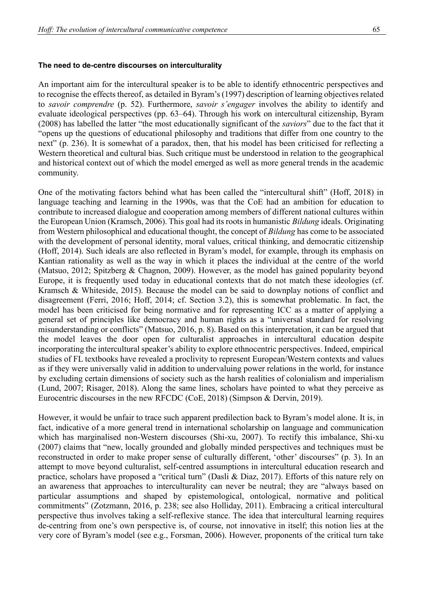#### **The need to de-centre discourses on interculturality**

An important aim for the intercultural speaker is to be able to identify ethnocentric perspectives and to recognise the effects thereof, as detailed in Byram's (1997) description of learning objectives related to *savoir comprendre* (p. 52). Furthermore, *savoir s'engager* involves the ability to identify and evaluate ideological perspectives (pp. 63–64). Through his work on intercultural citizenship, Byram (2008) has labelled the latter "the most educationally significant of the *saviors*" due to the fact that it "opens up the questions of educational philosophy and traditions that differ from one country to the next" (p. 236). It is somewhat of a paradox, then, that his model has been criticised for reflecting a Western theoretical and cultural bias. Such critique must be understood in relation to the geographical and historical context out of which the model emerged as well as more general trends in the academic community.

One of the motivating factors behind what has been called the "intercultural shift" (Hoff, 2018) in language teaching and learning in the 1990s, was that the CoE had an ambition for education to contribute to increased dialogue and cooperation among members of different national cultures within the European Union (Kramsch, 2006). This goal had its roots in humanistic *Bildung* ideals. Originating from Western philosophical and educational thought, the concept of *Bildung* has come to be associated with the development of personal identity, moral values, critical thinking, and democratic citizenship (Hoff, 2014). Such ideals are also reflected in Byram's model, for example, through its emphasis on Kantian rationality as well as the way in which it places the individual at the centre of the world (Matsuo, 2012; Spitzberg & Chagnon, 2009). However, as the model has gained popularity beyond Europe, it is frequently used today in educational contexts that do not match these ideologies (cf. Kramsch & Whiteside, 2015). Because the model can be said to downplay notions of conflict and disagreement (Ferri, 2016; Hoff, 2014; cf. Section 3.2), this is somewhat problematic. In fact, the model has been criticised for being normative and for representing ICC as a matter of applying a general set of principles like democracy and human rights as a "universal standard for resolving misunderstanding or conflicts" (Matsuo, 2016, p. 8). Based on this interpretation, it can be argued that the model leaves the door open for culturalist approaches in intercultural education despite incorporating the intercultural speaker's ability to explore ethnocentric perspectives. Indeed, empirical studies of FL textbooks have revealed a proclivity to represent European/Western contexts and values as if they were universally valid in addition to undervaluing power relations in the world, for instance by excluding certain dimensions of society such as the harsh realities of colonialism and imperialism (Lund, 2007; Risager, 2018). Along the same lines, scholars have pointed to what they perceive as Eurocentric discourses in the new RFCDC (CoE, 2018) (Simpson & Dervin, 2019).

However, it would be unfair to trace such apparent predilection back to Byram's model alone. It is, in fact, indicative of a more general trend in international scholarship on language and communication which has marginalised non-Western discourses (Shi-xu, 2007). To rectify this imbalance, Shi-xu (2007) claims that "new, locally grounded and globally minded perspectives and techniques must be reconstructed in order to make proper sense of culturally different, 'other' discourses" (p. 3). In an attempt to move beyond culturalist, self-centred assumptions in intercultural education research and practice, scholars have proposed a "critical turn" (Dasli & Diaz, 2017). Efforts of this nature rely on an awareness that approaches to interculturality can never be neutral; they are "always based on particular assumptions and shaped by epistemological, ontological, normative and political commitments" (Zotzmann, 2016, p. 238; see also Holliday, 2011). Embracing a critical intercultural perspective thus involves taking a self-reflexive stance. The idea that intercultural learning requires de-centring from one's own perspective is, of course, not innovative in itself; this notion lies at the very core of Byram's model (see e.g., Forsman, 2006). However, proponents of the critical turn take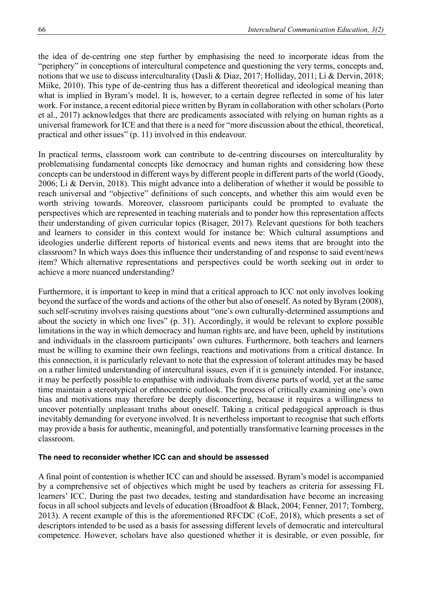the idea of de-centring one step further by emphasising the need to incorporate ideas from the "periphery" in conceptions of intercultural competence and questioning the very terms, concepts and, notions that we use to discuss interculturality (Dasli & Diaz, 2017; Holliday, 2011; Li & Dervin, 2018; Miike, 2010). This type of de-centring thus has a different theoretical and ideological meaning than what is implied in Byram's model. It is, however, to a certain degree reflected in some of his later work. For instance, a recent editorial piece written by Byram in collaboration with other scholars (Porto et al., 2017) acknowledges that there are predicaments associated with relying on human rights as a universal framework for ICE and that there is a need for "more discussion about the ethical, theoretical, practical and other issues" (p. 11) involved in this endeavour.

In practical terms, classroom work can contribute to de-centring discourses on interculturality by problematising fundamental concepts like democracy and human rights and considering how these concepts can be understood in different ways by different people in different parts of the world (Goody, 2006; Li & Dervin, 2018). This might advance into a deliberation of whether it would be possible to reach universal and "objective" definitions of such concepts, and whether this aim would even be worth striving towards. Moreover, classroom participants could be prompted to evaluate the perspectives which are represented in teaching materials and to ponder how this representation affects their understanding of given curricular topics (Risager, 2017). Relevant questions for both teachers and learners to consider in this context would for instance be: Which cultural assumptions and ideologies underlie different reports of historical events and news items that are brought into the classroom? In which ways does this influence their understanding of and response to said event/news item? Which alternative representations and perspectives could be worth seeking out in order to achieve a more nuanced understanding?

Furthermore, it is important to keep in mind that a critical approach to ICC not only involves looking beyond the surface of the words and actions of the other but also of oneself. As noted by Byram (2008), such self-scrutiny involves raising questions about "one's own culturally-determined assumptions and about the society in which one lives" (p. 31). Accordingly, it would be relevant to explore possible limitations in the way in which democracy and human rights are, and have been, upheld by institutions and individuals in the classroom participants' own cultures. Furthermore, both teachers and learners must be willing to examine their own feelings, reactions and motivations from a critical distance. In this connection, it is particularly relevant to note that the expression of tolerant attitudes may be based on a rather limited understanding of intercultural issues, even if it is genuinely intended. For instance, it may be perfectly possible to empathise with individuals from diverse parts of world, yet at the same time maintain a stereotypical or ethnocentric outlook. The process of critically examining one's own bias and motivations may therefore be deeply disconcerting, because it requires a willingness to uncover potentially unpleasant truths about oneself. Taking a critical pedagogical approach is thus inevitably demanding for everyone involved. It is nevertheless important to recognise that such efforts may provide a basis for authentic, meaningful, and potentially transformative learning processes in the classroom.

### **The need to reconsider whether ICC can and should be assessed**

A final point of contention is whether ICC can and should be assessed. Byram's model is accompanied by a comprehensive set of objectives which might be used by teachers as criteria for assessing FL learners' ICC. During the past two decades, testing and standardisation have become an increasing focus in all school subjects and levels of education (Broadfoot & Black, 2004; Fenner, 2017; Tornberg, 2013). A recent example of this is the aforementioned RFCDC (CoE, 2018), which presents a set of descriptors intended to be used as a basis for assessing different levels of democratic and intercultural competence. However, scholars have also questioned whether it is desirable, or even possible, for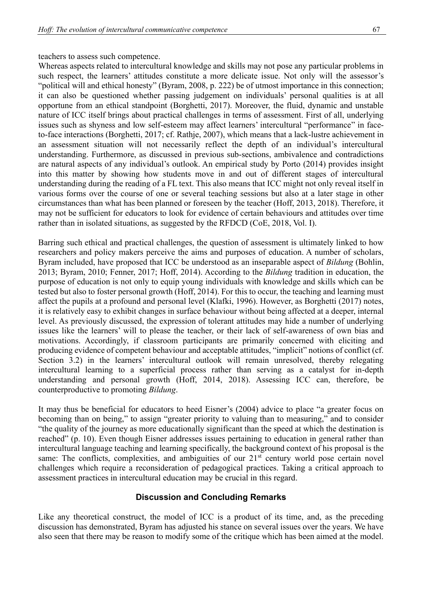#### teachers to assess such competence.

Whereas aspects related to intercultural knowledge and skills may not pose any particular problems in such respect, the learners' attitudes constitute a more delicate issue. Not only will the assessor's "political will and ethical honesty" (Byram, 2008, p. 222) be of utmost importance in this connection; it can also be questioned whether passing judgement on individuals' personal qualities is at all opportune from an ethical standpoint (Borghetti, 2017). Moreover, the fluid, dynamic and unstable nature of ICC itself brings about practical challenges in terms of assessment. First of all, underlying issues such as shyness and low self-esteem may affect learners' intercultural "performance" in faceto-face interactions (Borghetti, 2017; cf. Rathje, 2007), which means that a lack-lustre achievement in an assessment situation will not necessarily reflect the depth of an individual's intercultural understanding. Furthermore, as discussed in previous sub-sections, ambivalence and contradictions are natural aspects of any individual's outlook. An empirical study by Porto (2014) provides insight into this matter by showing how students move in and out of different stages of intercultural understanding during the reading of a FL text. This also means that ICC might not only reveal itself in various forms over the course of one or several teaching sessions but also at a later stage in other circumstances than what has been planned or foreseen by the teacher (Hoff, 2013, 2018). Therefore, it may not be sufficient for educators to look for evidence of certain behaviours and attitudes over time rather than in isolated situations, as suggested by the RFDCD (CoE, 2018, Vol. I).

Barring such ethical and practical challenges, the question of assessment is ultimately linked to how researchers and policy makers perceive the aims and purposes of education. A number of scholars, Byram included, have proposed that ICC be understood as an inseparable aspect of *Bildung* (Bohlin, 2013; Byram, 2010; Fenner, 2017; Hoff, 2014). According to the *Bildung* tradition in education, the purpose of education is not only to equip young individuals with knowledge and skills which can be tested but also to foster personal growth (Hoff, 2014). For this to occur, the teaching and learning must affect the pupils at a profound and personal level (Klafki, 1996). However, as Borghetti (2017) notes, it is relatively easy to exhibit changes in surface behaviour without being affected at a deeper, internal level. As previously discussed, the expression of tolerant attitudes may hide a number of underlying issues like the learners' will to please the teacher, or their lack of self-awareness of own bias and motivations. Accordingly, if classroom participants are primarily concerned with eliciting and producing evidence of competent behaviour and acceptable attitudes, "implicit" notions of conflict (cf. Section 3.2) in the learners' intercultural outlook will remain unresolved, thereby relegating intercultural learning to a superficial process rather than serving as a catalyst for in-depth understanding and personal growth (Hoff, 2014, 2018). Assessing ICC can, therefore, be counterproductive to promoting *Bildung*.

It may thus be beneficial for educators to heed Eisner's (2004) advice to place "a greater focus on becoming than on being," to assign "greater priority to valuing than to measuring," and to consider "the quality of the journey as more educationally significant than the speed at which the destination is reached" (p. 10). Even though Eisner addresses issues pertaining to education in general rather than intercultural language teaching and learning specifically, the background context of his proposal is the same: The conflicts, complexities, and ambiguities of our 21<sup>st</sup> century world pose certain novel challenges which require a reconsideration of pedagogical practices. Taking a critical approach to assessment practices in intercultural education may be crucial in this regard.

#### **Discussion and Concluding Remarks**

Like any theoretical construct, the model of ICC is a product of its time, and, as the preceding discussion has demonstrated, Byram has adjusted his stance on several issues over the years. We have also seen that there may be reason to modify some of the critique which has been aimed at the model.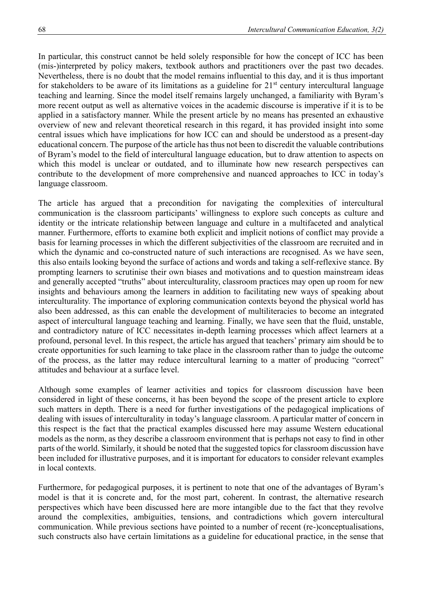In particular, this construct cannot be held solely responsible for how the concept of ICC has been (mis-)interpreted by policy makers, textbook authors and practitioners over the past two decades. Nevertheless, there is no doubt that the model remains influential to this day, and it is thus important for stakeholders to be aware of its limitations as a guideline for  $21<sup>st</sup>$  century intercultural language teaching and learning. Since the model itself remains largely unchanged, a familiarity with Byram's more recent output as well as alternative voices in the academic discourse is imperative if it is to be applied in a satisfactory manner. While the present article by no means has presented an exhaustive overview of new and relevant theoretical research in this regard, it has provided insight into some central issues which have implications for how ICC can and should be understood as a present-day educational concern. The purpose of the article has thus not been to discredit the valuable contributions of Byram's model to the field of intercultural language education, but to draw attention to aspects on which this model is unclear or outdated, and to illuminate how new research perspectives can contribute to the development of more comprehensive and nuanced approaches to ICC in today's language classroom.

The article has argued that a precondition for navigating the complexities of intercultural communication is the classroom participants' willingness to explore such concepts as culture and identity or the intricate relationship between language and culture in a multifaceted and analytical manner. Furthermore, efforts to examine both explicit and implicit notions of conflict may provide a basis for learning processes in which the different subjectivities of the classroom are recruited and in which the dynamic and co-constructed nature of such interactions are recognised. As we have seen, this also entails looking beyond the surface of actions and words and taking a self-reflexive stance. By prompting learners to scrutinise their own biases and motivations and to question mainstream ideas and generally accepted "truths" about interculturality, classroom practices may open up room for new insights and behaviours among the learners in addition to facilitating new ways of speaking about interculturality. The importance of exploring communication contexts beyond the physical world has also been addressed, as this can enable the development of multiliteracies to become an integrated aspect of intercultural language teaching and learning. Finally, we have seen that the fluid, unstable, and contradictory nature of ICC necessitates in-depth learning processes which affect learners at a profound, personal level. In this respect, the article has argued that teachers' primary aim should be to create opportunities for such learning to take place in the classroom rather than to judge the outcome of the process, as the latter may reduce intercultural learning to a matter of producing "correct" attitudes and behaviour at a surface level.

Although some examples of learner activities and topics for classroom discussion have been considered in light of these concerns, it has been beyond the scope of the present article to explore such matters in depth. There is a need for further investigations of the pedagogical implications of dealing with issues of interculturality in today's language classroom. A particular matter of concern in this respect is the fact that the practical examples discussed here may assume Western educational models as the norm, as they describe a classroom environment that is perhaps not easy to find in other parts of the world. Similarly, it should be noted that the suggested topics for classroom discussion have been included for illustrative purposes, and it is important for educators to consider relevant examples in local contexts.

Furthermore, for pedagogical purposes, it is pertinent to note that one of the advantages of Byram's model is that it is concrete and, for the most part, coherent. In contrast, the alternative research perspectives which have been discussed here are more intangible due to the fact that they revolve around the complexities, ambiguities, tensions, and contradictions which govern intercultural communication. While previous sections have pointed to a number of recent (re-)conceptualisations, such constructs also have certain limitations as a guideline for educational practice, in the sense that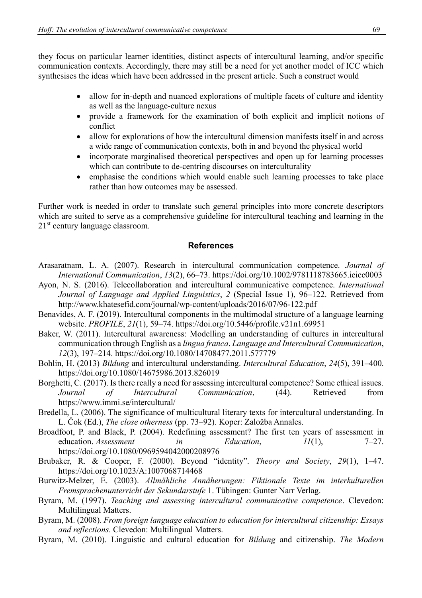they focus on particular learner identities, distinct aspects of intercultural learning, and/or specific communication contexts. Accordingly, there may still be a need for yet another model of ICC which synthesises the ideas which have been addressed in the present article. Such a construct would

- allow for in-depth and nuanced explorations of multiple facets of culture and identity as well as the language-culture nexus
- provide a framework for the examination of both explicit and implicit notions of conflict
- allow for explorations of how the intercultural dimension manifests itself in and across a wide range of communication contexts, both in and beyond the physical world
- incorporate marginalised theoretical perspectives and open up for learning processes which can contribute to de-centring discourses on interculturality
- emphasise the conditions which would enable such learning processes to take place rather than how outcomes may be assessed.

Further work is needed in order to translate such general principles into more concrete descriptors which are suited to serve as a comprehensive guideline for intercultural teaching and learning in the 21<sup>st</sup> century language classroom.

### **References**

- Arasaratnam, L. A. (2007). Research in intercultural communication competence. *Journal of International Communication*, *13*(2), 66–73.<https://doi.org/10.1002/9781118783665.ieicc0003>
- Ayon, N. S. (2016). Telecollaboration and intercultural communicative competence. *International Journal of Language and Applied Linguistics*, *2* (Special Issue 1), 96–122. Retrieved from <http://www.khatesefid.com/journal/wp-content/uploads/2016/07/96-122.pdf>
- Benavides, A. F. (2019). Intercultural components in the multimodal structure of a language learning website. *PROFILE*, *21*(1), 59–74.<https://doi.org/10.5446/profile.v21n1.69951>
- Baker, W. (2011). Intercultural awareness: Modelling an understanding of cultures in intercultural communication through English as a *lingua franca*. *Language and Intercultural Communication*, *12*(3), 197–214.<https://doi.org/10.1080/14708477.2011.577779>
- Bohlin, H. (2013) *Bildung* and intercultural understanding. *Intercultural Education*, *24*(5), 391–400. <https://doi.org/10.1080/14675986.2013.826019>
- Borghetti, C. (2017). Is there really a need for assessing intercultural competence? Some ethical issues. *Journal of Intercultural Communication*, (44). Retrieved from <https://www.immi.se/intercultural/>
- Bredella, L. (2006). The significance of multicultural literary texts for intercultural understanding. In L. Čok (Ed.), *The close otherness* (pp. 73–92). Koper: Založba Annales.
- Broadfoot, P. and Black, P. (2004). Redefining assessment? The first ten years of assessment in education. *Assessment in Education*, *11*(1), 7–27. <https://doi.org/10.1080/0969594042000208976>
- Brubaker, R. & Cooper, F. (2000). Beyond "identity". *Theory and Society*, *29*(1), 1–47. <https://doi.org/10.1023/A:1007068714468>
- Burwitz-Melzer, E. (2003). *Allmähliche Annäherungen: Fiktionale Texte im interkulturellen Fremsprachenunterricht der Sekundarstufe* 1. Tübingen: Gunter Narr Verlag.
- Byram, M. (1997). *Teaching and assessing intercultural communicative competence*. Clevedon: Multilingual Matters.
- Byram, M. (2008). *From foreign language education to education for intercultural citizenship: Essays and reflections*. Clevedon: Multilingual Matters.
- Byram, M. (2010). Linguistic and cultural education for *Bildung* and citizenship. *The Modern*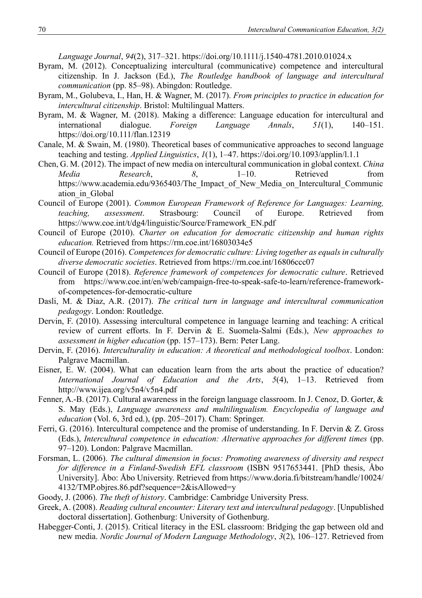*Language Journal*, *94*(2), 317–321.<https://doi.org/10.1111/j.1540-4781.2010.01024.x>

- Byram, M. (2012). Conceptualizing intercultural (communicative) competence and intercultural citizenship. In J. Jackson (Ed.), *The Routledge handbook of language and intercultural communication* (pp. 85–98). Abingdon: Routledge.
- Byram, M., Golubeva, I., Han, H. & Wagner, M. (2017). *From principles to practice in education for intercultural citizenship*. Bristol: Multilingual Matters.
- Byram, M. & Wagner, M. (2018). Making a difference: Language education for intercultural and international dialogue. *Foreign Language Annals*, *51*(1), 140–151. <https://doi.org/10.111/flan.12319>
- Canale, M. & Swain, M. (1980). Theoretical bases of communicative approaches to second language teaching and testing. *Applied Linguistics*, *1*(1), 1–47.<https://doi.org/10.1093/applin/l.1.1>
- Chen, G. M. (2012). The impact of new media on intercultural communication in global context. *China Media Research*, *8*, 1–10. Retrieved from https://www.academia.edu/9365403/The Impact of New Media on Intercultural Communic [ation\\_in\\_Global](https://www.academia.edu/9365403/The_Impact_of_New_Media_on_Intercultural_Communication_in_Global)
- Council of Europe (2001). *Common European Framework of Reference for Languages: Learning, teaching, assessment*. Strasbourg: Council of Europe. Retrieved from [https://www.coe.int/t/dg4/linguistic/Source/Framework\\_EN.pdf](https://www.coe.int/t/dg4/linguistic/Source/Framework_EN.pdf)
- Council of Europe (2010). *Charter on education for democratic citizenship and human rights education.* Retrieved from<https://rm.coe.int/16803034e5>
- Council of Europe (2016). *Competences for democratic culture: Living together as equals in culturally diverse democratic societies*. Retrieved from<https://rm.coe.int/16806ccc07>
- Council of Europe (2018). *Reference framework of competences for democratic culture*. Retrieved from [https://www.coe.int/en/web/campaign-free-to-speak-safe-to-learn/reference-framework](https://www.coe.int/en/web/campaign-free-to-speak-safe-to-learn/reference-framework-of-competences-for-democratic-culture)[of-competences-for-democratic-culture](https://www.coe.int/en/web/campaign-free-to-speak-safe-to-learn/reference-framework-of-competences-for-democratic-culture)
- Dasli, M. & Diaz, A.R. (2017). *The critical turn in language and intercultural communication pedagogy*. London: Routledge.
- Dervin, F. (2010). Assessing intercultural competence in language learning and teaching: A critical review of current efforts. In F. Dervin & E. Suomela-Salmi (Eds.), *New approaches to assessment in higher education* (pp. 157–173). Bern: Peter Lang.
- Dervin, F. (2016). *Interculturality in education: A theoretical and methodological toolbox*. London: Palgrave Macmillan.
- Eisner, E. W. (2004). What can education learn from the arts about the practice of education? *International Journal of Education and the Arts*, *5*(4), 1–13. Retrieved from <http://www.ijea.org/v5n4/v5n4.pdf>
- Fenner, A.-B. (2017). Cultural awareness in the foreign language classroom. In J. Cenoz, D. Gorter, & S. May (Eds.), *Language awareness and multilingualism. Encyclopedia of language and education* (Vol. 6, 3rd ed.), (pp. 205–2017). Cham: Springer.
- Ferri, G. (2016). Intercultural competence and the promise of understanding. In F. Dervin & Z. Gross (Eds.), *Intercultural competence in education: Alternative approaches for different times* (pp. 97–120). London: Palgrave Macmillan.
- Forsman, L. (2006). *The cultural dimension in focus: Promoting awareness of diversity and respect for difference in a Finland-Swedish EFL classroom* (ISBN 9517653441. [PhD thesis, Åbo University]. Åbo: Åbo University. Retrieved from [https://www.doria.fi/bitstream/handle/10024/](https://www.doria.fi/bitstream/handle/10024/4132/TMP.objres.86.pdf?sequence=2&isAllowed=y) [4132/TMP.objres.86.pdf?sequence=2&isAllowed=y](https://www.doria.fi/bitstream/handle/10024/4132/TMP.objres.86.pdf?sequence=2&isAllowed=y)
- Goody, J. (2006). *The theft of history*. Cambridge: Cambridge University Press.
- Greek, A. (2008). *Reading cultural encounter: Literary text and intercultural pedagogy*. [Unpublished doctoral dissertation]. Gothenburg: University of Gothenburg.
- Habegger-Conti, J. (2015). Critical literacy in the ESL classroom: Bridging the gap between old and new media. *Nordic Journal of Modern Language Methodology*, *3*(2), 106–127. Retrieved from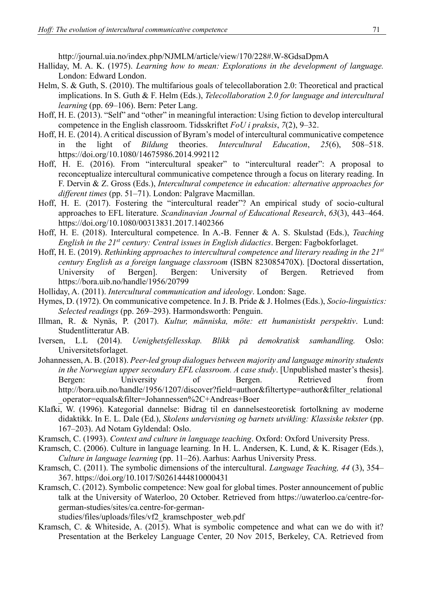<http://journal.uia.no/index.php/NJMLM/article/view/170/228#.W-8GdsaDpmA>

- Halliday, M. A. K. (1975). *Learning how to mean: Explorations in the development of language.* London: Edward London.
- Helm, S. & Guth, S. (2010). The multifarious goals of telecollaboration 2.0: Theoretical and practical implications. In S. Guth & F. Helm (Eds.), *Telecollaboration 2.0 for language and intercultural learning* (pp. 69–106). Bern: Peter Lang.
- Hoff, H. E. (2013). "Self" and "other" in meaningful interaction: Using fiction to develop intercultural competence in the English classroom. Tidsskriftet *FoU i praksis*, *7*(2), 9–32.
- Hoff, H. E. (2014). A critical discussion of Byram's model of intercultural communicative competence in the light of *Bildung* theories. *Intercultural Education*, *25*(6), 508–518. <https://doi.org/10.1080/14675986.2014.992112>
- Hoff, H. E. (2016). From "intercultural speaker" to "intercultural reader": A proposal to reconceptualize intercultural communicative competence through a focus on literary reading. In F. Dervin & Z. Gross (Eds.), *Intercultural competence in education: alternative approaches for different times* (pp. 51–71). London: Palgrave Macmillan.
- Hoff, H. E. (2017). Fostering the "intercultural reader"? An empirical study of socio-cultural approaches to EFL literature. *Scandinavian Journal of Educational Research*, *63*(3), 443–464. <https://doi.org/10.1080/00313831.2017.1402366>
- Hoff, H. E. (2018). Intercultural competence. In A.-B. Fenner & A. S. Skulstad (Eds.), *Teaching English in the 21st century: Central issues in English didactics*. Bergen: Fagbokforlaget.
- Hoff, H. E. (2019). *Rethinking approaches to intercultural competence and literary reading in the 21st century English as a foreign language classroom* (ISBN 823085470X). [Doctoral dissertation, University of Bergen]. Bergen: University of Bergen. Retrieved from <https://bora.uib.no/handle/1956/20799>
- Holliday, A. (2011). *Intercultural communication and ideology*. London: Sage.
- Hymes, D. (1972). On communicative competence. In J. B. Pride & J. Holmes (Eds.), *Socio-linguistics: Selected readings* (pp. 269–293). Harmondsworth: Penguin.
- Illman, R. & Nynäs, P. (2017). *Kultur, människa, möte: ett humanistiskt perspektiv*. Lund: Studentlitteratur AB.
- Iversen, L.L (2014). *Uenighetsfellesskap. Blikk på demokratisk samhandling.* Oslo: Universitetsforlaget.
- Johannessen, A. B. (2018). *Peer-led group dialogues between majority and language minority students in the Norwegian upper secondary EFL classroom. A case study*. [Unpublished master's thesis]. Bergen: University of Bergen. Retrieved from [http://bora.uib.no/handle/1956/1207/discover?field=author&filtertype=author&filter\\_relational](http://bora.uib.no/handle/1956/1207/discover?field=author&filtertype=author&filter_relational_operator=equals&filter=Johannessen%2C+Andreas+Boer) [\\_operator=equals&filter=Johannessen%2C+Andreas+Boer](http://bora.uib.no/handle/1956/1207/discover?field=author&filtertype=author&filter_relational_operator=equals&filter=Johannessen%2C+Andreas+Boer)
- Klafki, W. (1996). Kategorial dannelse: Bidrag til en dannelsesteoretisk fortolkning av moderne didaktikk. In E. L. Dale (Ed.), *Skolens undervisning og barnets utvikling: Klassiske tekster* (pp. 167–203). Ad Notam Gyldendal: Oslo.
- Kramsch, C. (1993). *Context and culture in language teaching*. Oxford: Oxford University Press.
- Kramsch, C. (2006). Culture in language learning. In H. L. Andersen, K. Lund, & K. Risager (Eds.), *Culture in language learning* (pp. 11–26). Aarhus: Aarhus University Press.
- Kramsch, C. (2011). The symbolic dimensions of the intercultural. *Language Teaching, 44* (3), 354– 367.<https://doi.org/10.1017/S0261444810000431>
- Kramsch, C. (2012). Symbolic competence: New goal for global times. Poster announcement of public talk at the University of Waterloo, 20 October. Retrieved from [https://uwaterloo.ca/centre-for](https://uwaterloo.ca/centre-for-german-studies/sites/ca.centre-for-german-studies/files/uploads/files/vf2_kramschposter_web.pdf)[german-studies/sites/ca.centre-for-german-](https://uwaterloo.ca/centre-for-german-studies/sites/ca.centre-for-german-studies/files/uploads/files/vf2_kramschposter_web.pdf)

[studies/files/uploads/files/vf2\\_kramschposter\\_web.pdf](https://uwaterloo.ca/centre-for-german-studies/sites/ca.centre-for-german-studies/files/uploads/files/vf2_kramschposter_web.pdf)

Kramsch, C. & Whiteside, A. (2015). What is symbolic competence and what can we do with it? Presentation at the Berkeley Language Center, 20 Nov 2015, Berkeley, CA. Retrieved from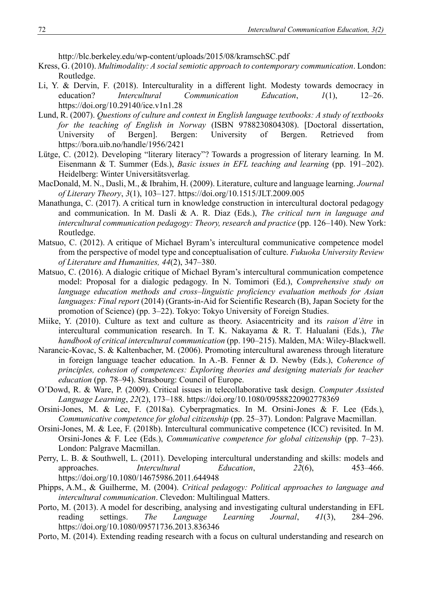<http://blc.berkeley.edu/wp-content/uploads/2015/08/kramschSC.pdf>

- Kress, G. (2010). *Multimodality: A social semiotic approach to contemporary communication*. London: Routledge.
- Li, Y. & Dervin, F. (2018). Interculturality in a different light. Modesty towards democracy in education? *Intercultural Communication Education*, *1*(1), 12–26. <https://doi.org/10.29140/ice.v1n1.28>
- Lund, R. (2007). *Questions of culture and context in English language textbooks: A study of textbooks for the teaching of English in Norway* (ISBN 9788230804308). [Doctoral dissertation, University of Bergen]. Bergen: University of Bergen. Retrieved from https://bora.uib.no/handle/1956/2421
- Lütge, C. (2012). Developing "literary literacy"? Towards a progression of literary learning*.* In M. Eisenmann & T. Summer (Eds.), *Basic issues in EFL teaching and learning* (pp. 191–202). Heidelberg: Winter Universitätsverlag*.*
- MacDonald, M. N., Dasli, M., & Ibrahim, H. (2009). Literature, culture and language learning. *Journal of Literary Theory*, *3*(1), 103–127. https://doi.org/10.1515/JLT.2009.005
- Manathunga, C. (2017). A critical turn in knowledge construction in intercultural doctoral pedagogy and communication. In M. Dasli & A. R. Diaz (Eds.), *The critical turn in language and intercultural communication pedagogy: Theory, research and practice* (pp. 126–140). New York: Routledge.
- Matsuo, C. (2012). A critique of Michael Byram's intercultural communicative competence model from the perspective of model type and conceptualisation of culture. *Fukuoka University Review of Literature and Humanities, 44*(2), 347–380.
- Matsuo, C. (2016). A dialogic critique of Michael Byram's intercultural communication competence model: Proposal for a dialogic pedagogy. In N. Tomimori (Ed.), *Comprehensive study on language education methods and cross–linguistic proficiency evaluation methods for Asian languages: Final report* (2014) (Grants-in-Aid for Scientific Research (B), Japan Society for the promotion of Science) (pp. 3–22). Tokyo: Tokyo University of Foreign Studies.
- Miike, Y. (2010). Culture as text and culture as theory. Asiacentricity and its *raison d'être* in intercultural communication research. In T. K. Nakayama & R. T. Halualani (Eds.), *The handbook of critical intercultural communication* (pp. 190–215). Malden, MA: Wiley-Blackwell.
- Narancic-Kovac, S. & Kaltenbacher, M. (2006). Promoting intercultural awareness through literature in foreign language teacher education. In A.-B. Fenner & D. Newby (Eds.), *Coherence of principles, cohesion of competences: Exploring theories and designing materials for teacher education* (pp. 78–94). Strasbourg: Council of Europe.
- O'Dowd, R. & Ware, P. (2009). Critical issues in telecollaborative task design. *Computer Assisted Language Learning*, *22*(2), 173–188.<https://doi.org/10.1080/09588220902778369>
- Orsini-Jones, M. & Lee, F. (2018a). Cyberpragmatics. In M. Orsini-Jones & F. Lee (Eds.), *Communicative competence for global citizenship (pp. 25–37). London: Palgrave Macmillan.*
- Orsini-Jones, M. & Lee, F. (2018b). Intercultural communicative competence (ICC) revisited. In M. Orsini-Jones & F. Lee (Eds.), *Communicative competence for global citizenship* (pp. 7–23). London: Palgrave Macmillan.
- Perry, L. B. & Southwell, L. (2011). Developing intercultural understanding and skills: models and approaches. *Intercultural Education*, *22*(6), 453–466. <https://doi.org/10.1080/14675986.2011.644948>
- Phipps, A.M., & Guilherme, M. (2004). *Critical pedagogy: Political approaches to language and intercultural communication*. Clevedon: Multilingual Matters.
- Porto, M. (2013). A model for describing, analysing and investigating cultural understanding in EFL reading settings. *The Language Learning Journal*, *41*(3), 284–296. <https://doi.org/10.1080/09571736.2013.836346>
- Porto, M. (2014). Extending reading research with a focus on cultural understanding and research on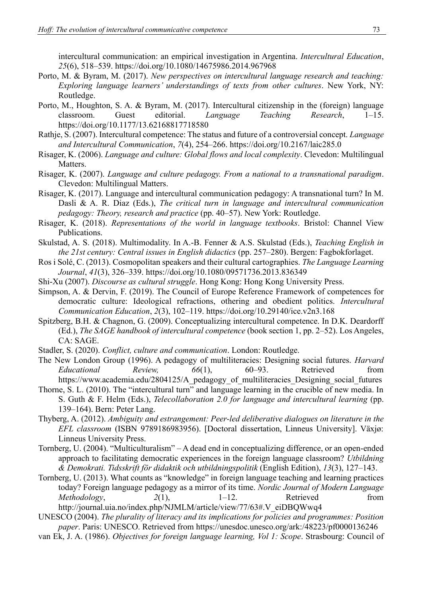intercultural communication: an empirical investigation in Argentina. *Intercultural Education*, *25*(6), 518–539.<https://doi.org/10.1080/14675986.2014.967968>

- Porto, M. & Byram, M. (2017). *New perspectives on intercultural language research and teaching: Exploring language learners' understandings of texts from other cultures*. New York, NY: Routledge.
- Porto, M., Houghton, S. A. & Byram, M. (2017). Intercultural citizenship in the (foreign) language classroom. Guest editorial. *Language Teaching Research*, 1–15. <https://doi.org/10.1177/13.62168817718580>
- Rathje, S. (2007). Intercultural competence: The status and future of a controversial concept. *Language and Intercultural Communication*, *7*(4), 254–266.<https://doi.org/10.2167/laic285.0>
- Risager, K. (2006). *Language and culture: Global flows and local complexity*. Clevedon: Multilingual Matters.
- Risager, K. (2007). *Language and culture pedagogy. From a national to a transnational paradigm*. Clevedon: Multilingual Matters.
- Risager, K. (2017). Language and intercultural communication pedagogy: A transnational turn? In M. Dasli & A. R. Diaz (Eds.), *The critical turn in language and intercultural communication pedagogy: Theory, research and practice* (pp. 40–57). New York: Routledge.
- Risager, K. (2018). *Representations of the world in language textbooks*. Bristol: Channel View Publications.
- Skulstad, A. S. (2018). Multimodality. In A.-B. Fenner & A.S. Skulstad (Eds.), *Teaching English in the 21st century: Central issues in English didactics* (pp. 257–280). Bergen: Fagbokforlaget.
- Ros i Solé, C. (2013). Cosmopolitan speakers and their cultural cartographies. *The Language Learning Journal*, *41*(3), 326–339.<https://doi.org/10.1080/09571736.2013.836349>
- Shi-Xu (2007). *Discourse as cultural struggle*. Hong Kong: Hong Kong University Press.
- Simpson, A. & Dervin, F. (2019). The Council of Europe Reference Framework of competences for democratic culture: Ideological refractions, othering and obedient politics. *Intercultural Communication Education*, *2*(3), 102–119.<https://doi.org/10.29140/ice.v2n3.168>
- Spitzberg, B.H. & Chagnon, G. (2009). Conceptualizing intercultural competence. In D.K. Deardorff (Ed.), *The SAGE handbook of intercultural competence* (book section 1, pp. 2–52). Los Angeles, CA: SAGE.
- Stadler, S. (2020). *Conflict, culture and communication*. London: Routledge.
- The New London Group (1996). A pedagogy of multiliteracies: Designing social futures. *Harvard Educational Review, 66*(1), 60–93. Retrieved from [https://www.academia.edu/2804125/A\\_pedagogy\\_of\\_multiliteracies\\_Designing\\_social\\_futures](https://www.academia.edu/2804125/A_pedagogy_of_multiliteracies_Designing_social_futures)
- Thorne, S. L. (2010). The "intercultural turn" and language learning in the crucible of new media. In S. Guth & F. Helm (Eds.), *Telecollaboration 2.0 for language and intercultural learning* (pp. 139–164). Bern: Peter Lang.
- Thyberg, A. (2012). *Ambiguity and estrangement: Peer-led deliberative dialogues on literature in the EFL classroom* (ISBN 9789186983956). [Doctoral dissertation, Linneus University]. Växjø: Linneus University Press.
- Tornberg, U. (2004). "Multiculturalism" A dead end in conceptualizing difference, or an open-ended approach to facilitating democratic experiences in the foreign language classroom? *Utbildning & Demokrati. Tidsskrift för didaktik och utbildningspolitik* (English Edition), *13*(3), 127–143.
- Tornberg, U. (2013). What counts as "knowledge" in foreign language teaching and learning practices today? Foreign language pedagogy as a mirror of its time. *Nordic Journal of Modern Language Methodology*, 2(1), 1–12. Retrieved from [http://journal.uia.no/index.php/NJMLM/article/view/77/63#.V\\_eiDBQWwq4](http://journal.uia.no/index.php/NJMLM/article/view/77/63#.V_eiDBQWwq4)

UNESCO (2004). *The plurality of literacy and its implications for policies and programmes: Position paper*. Paris: UNESCO. Retrieved from https://unesdoc.unesco.org/ark:/48223/pf0000136246

van Ek, J. A. (1986). *Objectives for foreign language learning, Vol 1: Scope*. Strasbourg: Council of